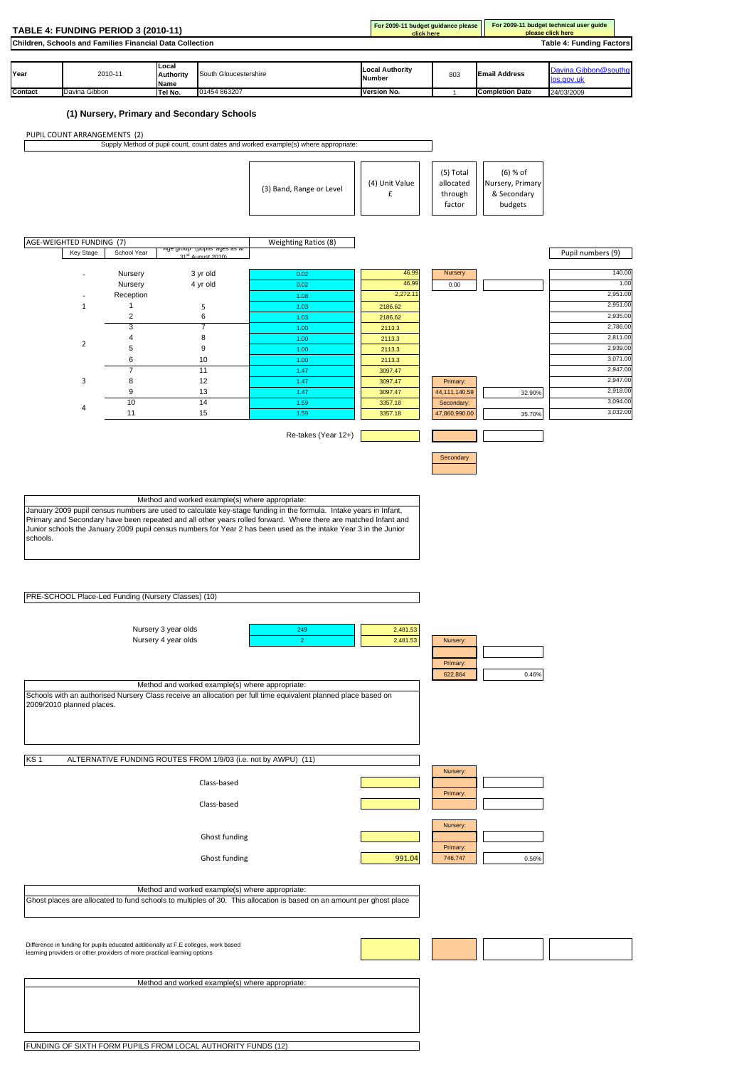|                 | TABLE 4: FUNDING PERIOD 3 (2010-11)                                                |                              |                                                 |                                                                                                                      | For 2009-11 budget guidance please<br>click here |                 |                        | For 2009-11 budget technical user guide<br>please click here |
|-----------------|------------------------------------------------------------------------------------|------------------------------|-------------------------------------------------|----------------------------------------------------------------------------------------------------------------------|--------------------------------------------------|-----------------|------------------------|--------------------------------------------------------------|
|                 | Children, Schools and Families Financial Data Collection                           |                              |                                                 |                                                                                                                      |                                                  |                 |                        | <b>Table 4: Funding Factors</b>                              |
|                 |                                                                                    |                              |                                                 |                                                                                                                      |                                                  |                 |                        |                                                              |
|                 |                                                                                    | Local                        |                                                 |                                                                                                                      | <b>Local Authority</b>                           |                 |                        | Davina.Gibbon@southq                                         |
| Year            | 2010-11                                                                            | <b>Authority</b><br>Name     | South Gloucestershire                           |                                                                                                                      | <b>Number</b>                                    | 803             | <b>Email Address</b>   | os.gov.uk                                                    |
| Contact         | Davina Gibbon                                                                      | Tel No.                      | 01454 863207                                    |                                                                                                                      | Version No.                                      | $\overline{1}$  | <b>Completion Date</b> | 24/03/2009                                                   |
|                 |                                                                                    |                              |                                                 |                                                                                                                      |                                                  |                 |                        |                                                              |
|                 | (1) Nursery, Primary and Secondary Schools                                         |                              |                                                 |                                                                                                                      |                                                  |                 |                        |                                                              |
|                 | PUPIL COUNT ARRANGEMENTS (2)                                                       |                              |                                                 |                                                                                                                      |                                                  |                 |                        |                                                              |
|                 |                                                                                    |                              |                                                 | Supply Method of pupil count, count dates and worked example(s) where appropriate:                                   |                                                  |                 |                        |                                                              |
|                 |                                                                                    |                              |                                                 |                                                                                                                      |                                                  |                 |                        |                                                              |
|                 |                                                                                    |                              |                                                 |                                                                                                                      |                                                  | (5) Total       | $(6)$ % of             |                                                              |
|                 |                                                                                    |                              |                                                 | (3) Band, Range or Level                                                                                             | (4) Unit Value                                   | allocated       | Nursery, Primary       |                                                              |
|                 |                                                                                    |                              |                                                 |                                                                                                                      | £                                                | through         | & Secondary            |                                                              |
|                 |                                                                                    |                              |                                                 |                                                                                                                      |                                                  | factor          | budgets                |                                                              |
|                 |                                                                                    |                              |                                                 |                                                                                                                      |                                                  |                 |                        |                                                              |
|                 |                                                                                    |                              |                                                 |                                                                                                                      |                                                  |                 |                        |                                                              |
|                 | AGE-WEIGHTED FUNDING (7)                                                           | School Year                  | kge group (pupiis age                           | Weighting Ratios (8)                                                                                                 |                                                  |                 |                        |                                                              |
|                 | Key Stage                                                                          | $24$ <sup>St</sup>           |                                                 |                                                                                                                      |                                                  |                 |                        | Pupil numbers (9)                                            |
|                 |                                                                                    | Nursery                      | 3 yr old                                        | 0.02                                                                                                                 | 46.99                                            | Nursery         |                        | 140.00                                                       |
|                 |                                                                                    | Nursery                      | 4 yr old                                        | 0.02                                                                                                                 | 46.99                                            | 0.00            |                        | 1.00                                                         |
|                 |                                                                                    | Reception                    |                                                 | 1.08                                                                                                                 | 2,272.1                                          |                 |                        | 2,951.00                                                     |
|                 | $\mathbf{1}$                                                                       | 1                            | 5                                               | 1.03                                                                                                                 | 2186.62                                          |                 |                        | 2,951.00<br>2,935.00                                         |
|                 |                                                                                    | $\overline{\mathbf{c}}$<br>3 | 6<br>7                                          | 1.03<br>1.00                                                                                                         | 2186.62<br>2113.3                                |                 |                        | 2,786.00                                                     |
|                 |                                                                                    | 4                            | 8                                               | 1.00                                                                                                                 | 2113.3                                           |                 |                        | 2,811.00                                                     |
|                 | $\overline{2}$                                                                     | 5                            | 9                                               | 1.00                                                                                                                 | 2113.3                                           |                 |                        | 2,939.00                                                     |
|                 |                                                                                    | 6                            | 10                                              | 1.00                                                                                                                 | 2113.3                                           |                 |                        | 3,071.00                                                     |
|                 | 3                                                                                  | $\overline{7}$<br>8          | 11<br>12                                        | 1.47<br>1.47                                                                                                         | 3097.47<br>3097.47                               | Primary:        |                        | 2,947.00<br>2,947.00                                         |
|                 |                                                                                    | 9                            | 13                                              | 1.47                                                                                                                 | 3097.47                                          | 44, 111, 140.59 | 32.90%                 | 2,918.00                                                     |
|                 |                                                                                    | 10                           | 14                                              | 1.59                                                                                                                 | 3357.18                                          | Secondary:      |                        | 3,094.00                                                     |
|                 | 4                                                                                  | 11                           | 15                                              | 1.59                                                                                                                 | 3357.18                                          | 47,860,990.00   | 35.70%                 | 3,032.00                                                     |
|                 |                                                                                    |                              |                                                 |                                                                                                                      |                                                  |                 |                        |                                                              |
|                 |                                                                                    |                              |                                                 | Re-takes (Year 12+)                                                                                                  |                                                  |                 |                        |                                                              |
|                 |                                                                                    |                              |                                                 |                                                                                                                      |                                                  | Secondary       |                        |                                                              |
|                 |                                                                                    |                              |                                                 |                                                                                                                      |                                                  |                 |                        |                                                              |
|                 |                                                                                    |                              |                                                 |                                                                                                                      |                                                  |                 |                        |                                                              |
|                 |                                                                                    |                              |                                                 |                                                                                                                      |                                                  |                 |                        |                                                              |
|                 |                                                                                    |                              | Method and worked example(s) where appropriate: |                                                                                                                      |                                                  |                 |                        |                                                              |
|                 |                                                                                    |                              |                                                 | January 2009 pupil census numbers are used to calculate key-stage funding in the formula. Intake years in Infant,    |                                                  |                 |                        |                                                              |
|                 |                                                                                    |                              |                                                 | Primary and Secondary have been repeated and all other years rolled forward. Where there are matched Infant and      |                                                  |                 |                        |                                                              |
|                 |                                                                                    |                              |                                                 | Junior schools the January 2009 pupil census numbers for Year 2 has been used as the intake Year 3 in the Junior     |                                                  |                 |                        |                                                              |
| schools.        |                                                                                    |                              |                                                 |                                                                                                                      |                                                  |                 |                        |                                                              |
|                 |                                                                                    |                              |                                                 |                                                                                                                      |                                                  |                 |                        |                                                              |
|                 |                                                                                    |                              |                                                 |                                                                                                                      |                                                  |                 |                        |                                                              |
|                 |                                                                                    |                              |                                                 |                                                                                                                      |                                                  |                 |                        |                                                              |
|                 |                                                                                    |                              |                                                 |                                                                                                                      |                                                  |                 |                        |                                                              |
|                 | PRE-SCHOOL Place-Led Funding (Nursery Classes) (10)                                |                              |                                                 |                                                                                                                      |                                                  |                 |                        |                                                              |
|                 |                                                                                    |                              |                                                 |                                                                                                                      |                                                  |                 |                        |                                                              |
|                 |                                                                                    | Nursery 3 year olds          |                                                 | 249                                                                                                                  | 2,481.53                                         |                 |                        |                                                              |
|                 |                                                                                    | Nursery 4 year olds          |                                                 | $\overline{2}$                                                                                                       | 2,481.53                                         | Nursery:        |                        |                                                              |
|                 |                                                                                    |                              |                                                 |                                                                                                                      |                                                  |                 |                        |                                                              |
|                 |                                                                                    |                              |                                                 |                                                                                                                      |                                                  | Primary:        |                        |                                                              |
|                 |                                                                                    |                              |                                                 |                                                                                                                      |                                                  | 622,864         | 0.46%                  |                                                              |
|                 |                                                                                    |                              | Method and worked example(s) where appropriate: |                                                                                                                      |                                                  |                 |                        |                                                              |
|                 | 2009/2010 planned places.                                                          |                              |                                                 | Schools with an authorised Nursery Class receive an allocation per full time equivalent planned place based on       |                                                  |                 |                        |                                                              |
|                 |                                                                                    |                              |                                                 |                                                                                                                      |                                                  |                 |                        |                                                              |
|                 |                                                                                    |                              |                                                 |                                                                                                                      |                                                  |                 |                        |                                                              |
|                 |                                                                                    |                              |                                                 |                                                                                                                      |                                                  |                 |                        |                                                              |
|                 |                                                                                    |                              |                                                 |                                                                                                                      |                                                  |                 |                        |                                                              |
| KS <sub>1</sub> |                                                                                    |                              |                                                 | ALTERNATIVE FUNDING ROUTES FROM 1/9/03 (i.e. not by AWPU) (11)                                                       |                                                  |                 |                        |                                                              |
|                 |                                                                                    |                              |                                                 |                                                                                                                      |                                                  | Nursery:        |                        |                                                              |
|                 |                                                                                    |                              | Class-based                                     |                                                                                                                      |                                                  |                 |                        |                                                              |
|                 |                                                                                    |                              |                                                 |                                                                                                                      |                                                  | Primary:        |                        |                                                              |
|                 |                                                                                    |                              | Class-based                                     |                                                                                                                      |                                                  |                 |                        |                                                              |
|                 |                                                                                    |                              |                                                 |                                                                                                                      |                                                  | Nursery:        |                        |                                                              |
|                 |                                                                                    |                              | Ghost funding                                   |                                                                                                                      |                                                  |                 |                        |                                                              |
|                 |                                                                                    |                              |                                                 |                                                                                                                      |                                                  | Primary:        |                        |                                                              |
|                 |                                                                                    |                              | Ghost funding                                   |                                                                                                                      | 991.04                                           | 746,747         | 0.56%                  |                                                              |
|                 |                                                                                    |                              |                                                 |                                                                                                                      |                                                  |                 |                        |                                                              |
|                 |                                                                                    |                              |                                                 |                                                                                                                      |                                                  |                 |                        |                                                              |
|                 |                                                                                    |                              | Method and worked example(s) where appropriate: | Ghost places are allocated to fund schools to multiples of 30. This allocation is based on an amount per ghost place |                                                  |                 |                        |                                                              |
|                 |                                                                                    |                              |                                                 |                                                                                                                      |                                                  |                 |                        |                                                              |
|                 |                                                                                    |                              |                                                 |                                                                                                                      |                                                  |                 |                        |                                                              |
|                 |                                                                                    |                              |                                                 |                                                                                                                      |                                                  |                 |                        |                                                              |
|                 | Difference in funding for pupils educated additionally at F.E colleges, work based |                              |                                                 |                                                                                                                      |                                                  |                 |                        |                                                              |
|                 | learning providers or other providers of more practical learning options           |                              |                                                 |                                                                                                                      |                                                  |                 |                        |                                                              |
|                 |                                                                                    |                              |                                                 |                                                                                                                      |                                                  |                 |                        |                                                              |
|                 |                                                                                    |                              | Method and worked example(s) where appropriate: |                                                                                                                      |                                                  |                 |                        |                                                              |
|                 |                                                                                    |                              |                                                 |                                                                                                                      |                                                  |                 |                        |                                                              |
|                 |                                                                                    |                              |                                                 |                                                                                                                      |                                                  |                 |                        |                                                              |
|                 |                                                                                    |                              |                                                 |                                                                                                                      |                                                  |                 |                        |                                                              |
|                 |                                                                                    |                              |                                                 |                                                                                                                      |                                                  |                 |                        |                                                              |
|                 |                                                                                    |                              |                                                 |                                                                                                                      |                                                  |                 |                        |                                                              |
|                 | FUNDING OF SIXTH FORM PUPILS FROM LOCAL AUTHORITY FUNDS (12)                       |                              |                                                 |                                                                                                                      |                                                  |                 |                        |                                                              |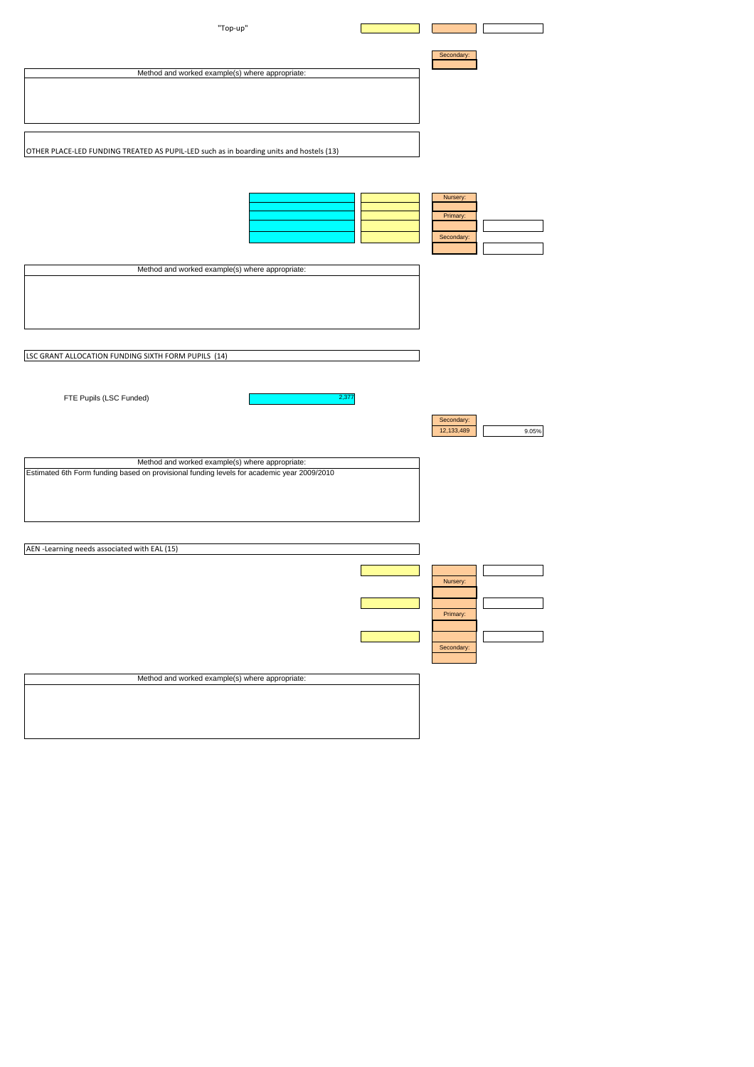| "Top-up"                                                                                   |            |       |
|--------------------------------------------------------------------------------------------|------------|-------|
|                                                                                            |            |       |
|                                                                                            |            |       |
|                                                                                            | Secondary: |       |
| Method and worked example(s) where appropriate:                                            |            |       |
|                                                                                            |            |       |
|                                                                                            |            |       |
|                                                                                            |            |       |
|                                                                                            |            |       |
|                                                                                            |            |       |
| OTHER PLACE-LED FUNDING TREATED AS PUPIL-LED such as in boarding units and hostels (13)    |            |       |
|                                                                                            |            |       |
|                                                                                            |            |       |
|                                                                                            |            |       |
|                                                                                            | Nursery:   |       |
|                                                                                            |            |       |
|                                                                                            | Primary:   |       |
|                                                                                            | Secondary: |       |
|                                                                                            |            |       |
|                                                                                            |            |       |
| Method and worked example(s) where appropriate:                                            |            |       |
|                                                                                            |            |       |
|                                                                                            |            |       |
|                                                                                            |            |       |
|                                                                                            |            |       |
|                                                                                            |            |       |
|                                                                                            |            |       |
| LSC GRANT ALLOCATION FUNDING SIXTH FORM PUPILS (14)                                        |            |       |
|                                                                                            |            |       |
|                                                                                            |            |       |
|                                                                                            |            |       |
| FTE Pupils (LSC Funded)<br>2,377                                                           |            |       |
|                                                                                            |            |       |
|                                                                                            | Secondary: |       |
|                                                                                            | 12,133,489 | 9.05% |
|                                                                                            |            |       |
| Method and worked example(s) where appropriate:                                            |            |       |
| Estimated 6th Form funding based on provisional funding levels for academic year 2009/2010 |            |       |
|                                                                                            |            |       |
|                                                                                            |            |       |
|                                                                                            |            |       |
|                                                                                            |            |       |
|                                                                                            |            |       |
| AEN -Learning needs associated with EAL (15)                                               |            |       |
|                                                                                            |            |       |
|                                                                                            |            |       |
|                                                                                            | Nursery:   |       |
|                                                                                            |            |       |
|                                                                                            | Primary:   |       |
|                                                                                            |            |       |
|                                                                                            |            |       |
|                                                                                            | Secondary: |       |
|                                                                                            |            |       |
|                                                                                            |            |       |
| Method and worked example(s) where appropriate:                                            |            |       |
|                                                                                            |            |       |
|                                                                                            |            |       |
|                                                                                            |            |       |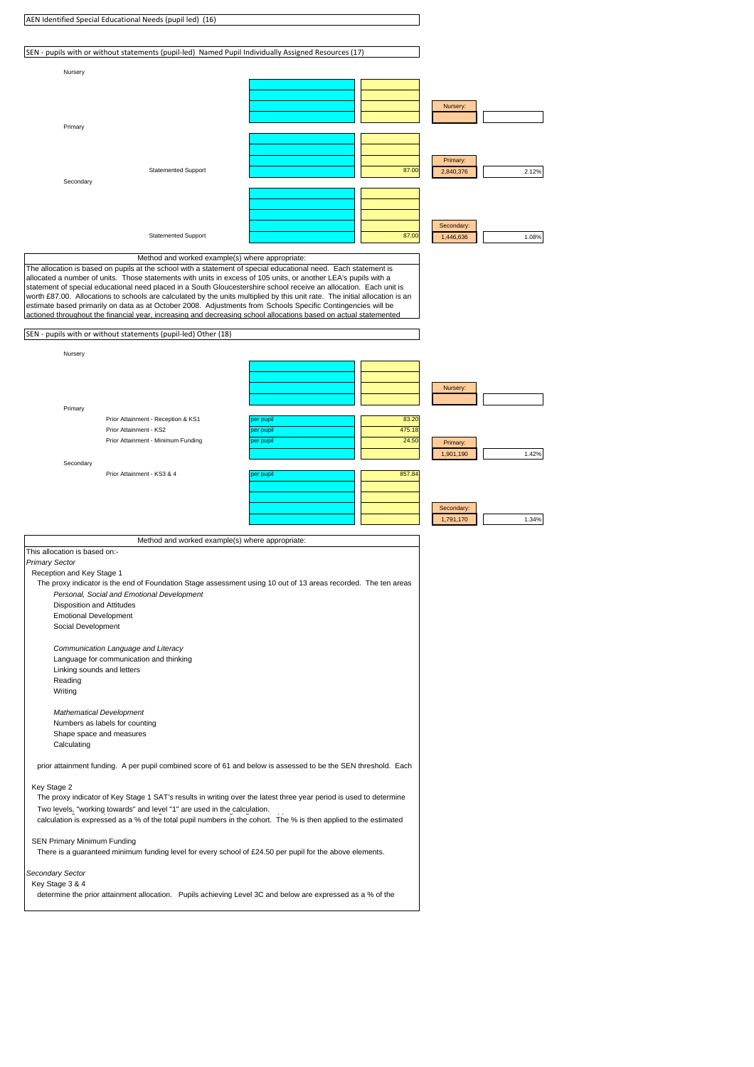|                                                                                                                                                                               | AEN Identified Special Educational Needs (pupil led) (16)                                                                                                                                                                                                                                                                                                                                                                                                                                                                                                                                                |                        |                 |                         |       |
|-------------------------------------------------------------------------------------------------------------------------------------------------------------------------------|----------------------------------------------------------------------------------------------------------------------------------------------------------------------------------------------------------------------------------------------------------------------------------------------------------------------------------------------------------------------------------------------------------------------------------------------------------------------------------------------------------------------------------------------------------------------------------------------------------|------------------------|-----------------|-------------------------|-------|
|                                                                                                                                                                               | SEN - pupils with or without statements (pupil-led) Named Pupil Individually Assigned Resources (17)                                                                                                                                                                                                                                                                                                                                                                                                                                                                                                     |                        |                 |                         |       |
|                                                                                                                                                                               |                                                                                                                                                                                                                                                                                                                                                                                                                                                                                                                                                                                                          |                        |                 |                         |       |
| Nursery                                                                                                                                                                       |                                                                                                                                                                                                                                                                                                                                                                                                                                                                                                                                                                                                          |                        |                 |                         |       |
|                                                                                                                                                                               |                                                                                                                                                                                                                                                                                                                                                                                                                                                                                                                                                                                                          |                        |                 | Nursery:                |       |
|                                                                                                                                                                               |                                                                                                                                                                                                                                                                                                                                                                                                                                                                                                                                                                                                          |                        |                 |                         |       |
| Primary                                                                                                                                                                       |                                                                                                                                                                                                                                                                                                                                                                                                                                                                                                                                                                                                          |                        |                 |                         |       |
|                                                                                                                                                                               |                                                                                                                                                                                                                                                                                                                                                                                                                                                                                                                                                                                                          |                        |                 | Primary:                |       |
|                                                                                                                                                                               | <b>Statemented Support</b>                                                                                                                                                                                                                                                                                                                                                                                                                                                                                                                                                                               |                        | 87.00           | 2,840,376               | 2.12% |
| Secondary                                                                                                                                                                     |                                                                                                                                                                                                                                                                                                                                                                                                                                                                                                                                                                                                          |                        |                 |                         |       |
|                                                                                                                                                                               |                                                                                                                                                                                                                                                                                                                                                                                                                                                                                                                                                                                                          |                        |                 |                         |       |
|                                                                                                                                                                               |                                                                                                                                                                                                                                                                                                                                                                                                                                                                                                                                                                                                          |                        |                 | Secondary:              |       |
|                                                                                                                                                                               | <b>Statemented Support</b>                                                                                                                                                                                                                                                                                                                                                                                                                                                                                                                                                                               |                        | 87.00           | 1,446,636               | 1.08% |
|                                                                                                                                                                               | Method and worked example(s) where appropriate:<br>The allocation is based on pupils at the school with a statement of special educational need. Each statement is                                                                                                                                                                                                                                                                                                                                                                                                                                       |                        |                 |                         |       |
|                                                                                                                                                                               | allocated a number of units. Those statements with units in excess of 105 units, or another LEA's pupils with a<br>statement of special educational need placed in a South Gloucestershire school receive an allocation. Each unit is<br>worth £87.00. Allocations to schools are calculated by the units multiplied by this unit rate. The initial allocation is an<br>estimate based primarily on data as at October 2008. Adjustments from Schools Specific Contingencies will be<br>actioned throughout the financial year, increasing and decreasing school allocations based on actual statemented |                        |                 |                         |       |
|                                                                                                                                                                               | SEN - pupils with or without statements (pupil-led) Other (18)                                                                                                                                                                                                                                                                                                                                                                                                                                                                                                                                           |                        |                 |                         |       |
| Nursery                                                                                                                                                                       |                                                                                                                                                                                                                                                                                                                                                                                                                                                                                                                                                                                                          |                        |                 |                         |       |
|                                                                                                                                                                               |                                                                                                                                                                                                                                                                                                                                                                                                                                                                                                                                                                                                          |                        |                 |                         |       |
|                                                                                                                                                                               |                                                                                                                                                                                                                                                                                                                                                                                                                                                                                                                                                                                                          |                        |                 | Nursery:                |       |
| Primary                                                                                                                                                                       |                                                                                                                                                                                                                                                                                                                                                                                                                                                                                                                                                                                                          |                        |                 |                         |       |
|                                                                                                                                                                               | Prior Attainment - Reception & KS1<br>Prior Attainment - KS2                                                                                                                                                                                                                                                                                                                                                                                                                                                                                                                                             | per pupil<br>per pupil | 83.20<br>475.18 |                         |       |
|                                                                                                                                                                               | Prior Attainment - Minimum Funding                                                                                                                                                                                                                                                                                                                                                                                                                                                                                                                                                                       | per pupil              | 24.50           | Primary:<br>1,901,190   | 1.42% |
| Secondary                                                                                                                                                                     |                                                                                                                                                                                                                                                                                                                                                                                                                                                                                                                                                                                                          |                        |                 |                         |       |
|                                                                                                                                                                               | Prior Attainment - KS3 & 4                                                                                                                                                                                                                                                                                                                                                                                                                                                                                                                                                                               | per pupil              | 857.84          |                         |       |
|                                                                                                                                                                               |                                                                                                                                                                                                                                                                                                                                                                                                                                                                                                                                                                                                          |                        |                 |                         |       |
|                                                                                                                                                                               |                                                                                                                                                                                                                                                                                                                                                                                                                                                                                                                                                                                                          |                        |                 | Secondary:<br>1,791,170 | 1.34% |
|                                                                                                                                                                               | Method and worked example(s) where appropriate:                                                                                                                                                                                                                                                                                                                                                                                                                                                                                                                                                          |                        |                 |                         |       |
| This allocation is based on:-<br><b>Primary Sector</b><br>Reception and Key Stage 1<br><b>Disposition and Attitudes</b><br><b>Emotional Development</b><br>Social Development | The proxy indicator is the end of Foundation Stage assessment using 10 out of 13 areas recorded. The ten areas<br>Personal, Social and Emotional Development                                                                                                                                                                                                                                                                                                                                                                                                                                             |                        |                 |                         |       |
| Linking sounds and letters<br>Reading<br>Writing                                                                                                                              | Communication Language and Literacy<br>Language for communication and thinking                                                                                                                                                                                                                                                                                                                                                                                                                                                                                                                           |                        |                 |                         |       |
| <b>Mathematical Development</b><br>Shape space and measures<br>Calculating                                                                                                    | Numbers as labels for counting                                                                                                                                                                                                                                                                                                                                                                                                                                                                                                                                                                           |                        |                 |                         |       |
|                                                                                                                                                                               | prior attainment funding. A per pupil combined score of 61 and below is assessed to be the SEN threshold. Each                                                                                                                                                                                                                                                                                                                                                                                                                                                                                           |                        |                 |                         |       |
| Key Stage 2                                                                                                                                                                   | The proxy indicator of Key Stage 1 SAT's results in writing over the latest three year period is used to determine<br>Two levels, "working towards" and level "1" are used in the calculation.<br>calculation is expressed as a % of the total pupil numbers in the cohort. The % is then applied to the estimated                                                                                                                                                                                                                                                                                       |                        |                 |                         |       |
| SEN Primary Minimum Funding                                                                                                                                                   | There is a guaranteed minimum funding level for every school of £24.50 per pupil for the above elements.                                                                                                                                                                                                                                                                                                                                                                                                                                                                                                 |                        |                 |                         |       |
| Secondary Sector<br>Key Stage 3 & 4                                                                                                                                           | determine the prior attainment allocation. Pupils achieving Level 3C and below are expressed as a % of the                                                                                                                                                                                                                                                                                                                                                                                                                                                                                               |                        |                 |                         |       |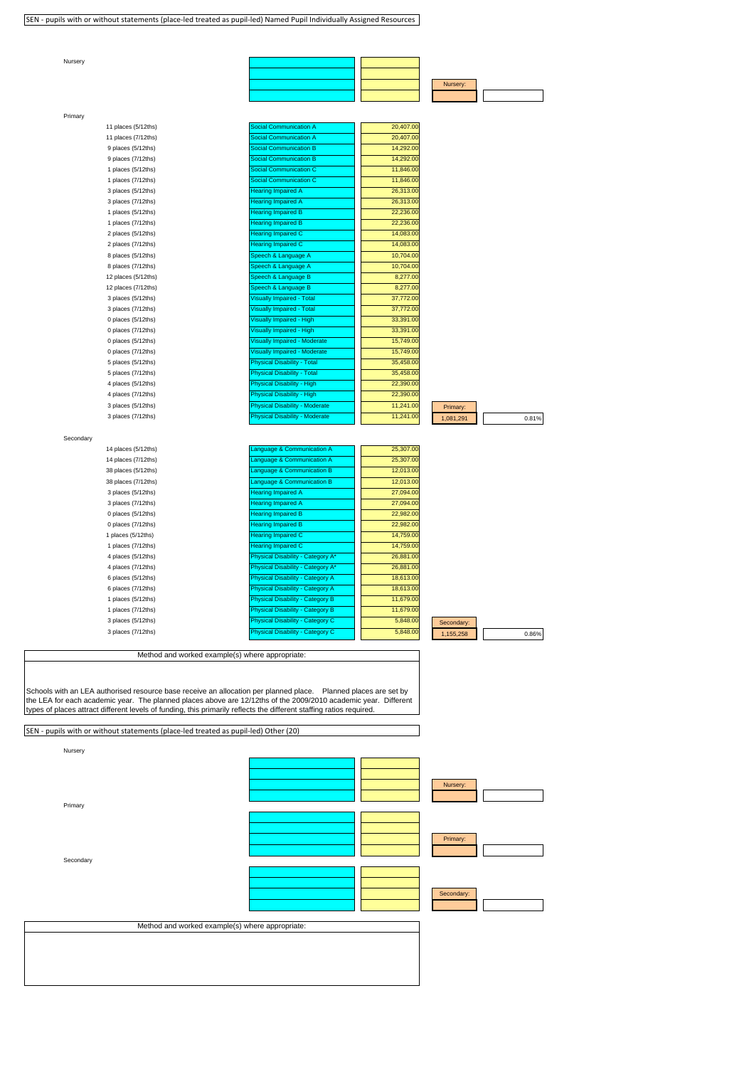SEN - pupils with or without statements (place-led treated as pupil-led) Named Pupil Individually Assigned Resources

| Nursery   |                                                                                     |                                                                                                                                                                                                                                                                                                                                                            |                        |            |       |
|-----------|-------------------------------------------------------------------------------------|------------------------------------------------------------------------------------------------------------------------------------------------------------------------------------------------------------------------------------------------------------------------------------------------------------------------------------------------------------|------------------------|------------|-------|
|           |                                                                                     |                                                                                                                                                                                                                                                                                                                                                            |                        |            |       |
|           |                                                                                     |                                                                                                                                                                                                                                                                                                                                                            |                        |            |       |
|           |                                                                                     |                                                                                                                                                                                                                                                                                                                                                            |                        | Nursery:   |       |
|           |                                                                                     |                                                                                                                                                                                                                                                                                                                                                            |                        |            |       |
| Primary   |                                                                                     |                                                                                                                                                                                                                                                                                                                                                            |                        |            |       |
|           | 11 places (5/12ths)<br>11 places (7/12ths)                                          | Social Communication A<br><b>Social Communication A</b>                                                                                                                                                                                                                                                                                                    | 20,407.00<br>20,407.00 |            |       |
|           | 9 places (5/12ths)                                                                  | <b>Social Communication B</b>                                                                                                                                                                                                                                                                                                                              | 14,292.00              |            |       |
|           | 9 places (7/12ths)                                                                  | <b>Social Communication B</b>                                                                                                                                                                                                                                                                                                                              | 14,292.00              |            |       |
|           | 1 places (5/12ths)                                                                  | <b>Social Communication C</b>                                                                                                                                                                                                                                                                                                                              | 11,846.00              |            |       |
|           | 1 places (7/12ths)                                                                  | <b>Social Communication C</b>                                                                                                                                                                                                                                                                                                                              | 11,846.00              |            |       |
|           | 3 places (5/12ths)                                                                  | <b>Hearing Impaired A</b>                                                                                                                                                                                                                                                                                                                                  | 26,313.00              |            |       |
|           | 3 places (7/12ths)                                                                  | <b>Hearing Impaired A</b>                                                                                                                                                                                                                                                                                                                                  | 26,313.00              |            |       |
|           | 1 places (5/12ths)                                                                  | <b>Hearing Impaired B</b>                                                                                                                                                                                                                                                                                                                                  | 22,236.00              |            |       |
|           | 1 places (7/12ths)                                                                  | <b>Hearing Impaired B</b>                                                                                                                                                                                                                                                                                                                                  | 22,236.00              |            |       |
|           | 2 places (5/12ths)                                                                  | <b>Hearing Impaired C</b>                                                                                                                                                                                                                                                                                                                                  | 14,083.00              |            |       |
|           | 2 places (7/12ths)                                                                  | <b>Hearing Impaired C</b>                                                                                                                                                                                                                                                                                                                                  | 14,083.00              |            |       |
|           | 8 places (5/12ths)                                                                  | Speech & Language A                                                                                                                                                                                                                                                                                                                                        | 10,704.00              |            |       |
|           | 8 places (7/12ths)                                                                  | Speech & Language A                                                                                                                                                                                                                                                                                                                                        | 10,704.00              |            |       |
|           | 12 places (5/12ths)                                                                 | Speech & Language B                                                                                                                                                                                                                                                                                                                                        | 8,277.00               |            |       |
|           | 12 places (7/12ths)                                                                 | Speech & Language B                                                                                                                                                                                                                                                                                                                                        | 8,277.00<br>37,772.00  |            |       |
|           | 3 places (5/12ths)                                                                  | <b>Visually Impaired - Total</b>                                                                                                                                                                                                                                                                                                                           | 37,772.00              |            |       |
|           | 3 places (7/12ths)<br>0 places (5/12ths)                                            | <b>Visually Impaired - Total</b><br>Visually Impaired - High                                                                                                                                                                                                                                                                                               | 33,391.00              |            |       |
|           | 0 places (7/12ths)                                                                  | <b>Visually Impaired - High</b>                                                                                                                                                                                                                                                                                                                            | 33,391.00              |            |       |
|           | 0 places (5/12ths)                                                                  | <b>Visually Impaired - Moderate</b>                                                                                                                                                                                                                                                                                                                        | 15,749.00              |            |       |
|           | 0 places (7/12ths)                                                                  | <b>Visually Impaired - Moderate</b>                                                                                                                                                                                                                                                                                                                        | 15,749.00              |            |       |
|           | 5 places (5/12ths)                                                                  | <b>Physical Disability - Total</b>                                                                                                                                                                                                                                                                                                                         | 35,458.00              |            |       |
|           | 5 places (7/12ths)                                                                  | <b>Physical Disability - Total</b>                                                                                                                                                                                                                                                                                                                         | 35,458.00              |            |       |
|           | 4 places (5/12ths)                                                                  | Physical Disability - High                                                                                                                                                                                                                                                                                                                                 | 22,390.00              |            |       |
|           | 4 places (7/12ths)                                                                  | Physical Disability - High                                                                                                                                                                                                                                                                                                                                 | 22,390.00              |            |       |
|           | 3 places (5/12ths)                                                                  | <b>Physical Disability - Moderate</b>                                                                                                                                                                                                                                                                                                                      | 11,241.00              | Primary:   |       |
|           | 3 places (7/12ths)                                                                  | <b>Physical Disability - Moderate</b>                                                                                                                                                                                                                                                                                                                      | 11,241.00              | 1,081,291  | 0.81% |
|           |                                                                                     |                                                                                                                                                                                                                                                                                                                                                            |                        |            |       |
| Secondary |                                                                                     |                                                                                                                                                                                                                                                                                                                                                            |                        |            |       |
|           | 14 places (5/12ths)                                                                 | Language & Communication A                                                                                                                                                                                                                                                                                                                                 | 25,307.00              |            |       |
|           | 14 places (7/12ths)                                                                 | Language & Communication A                                                                                                                                                                                                                                                                                                                                 | 25,307.00              |            |       |
|           | 38 places (5/12ths)<br>38 places (7/12ths)                                          | Language & Communication B<br>Language & Communication B                                                                                                                                                                                                                                                                                                   | 12,013.00<br>12,013.00 |            |       |
|           | 3 places (5/12ths)                                                                  | <b>Hearing Impaired A</b>                                                                                                                                                                                                                                                                                                                                  | 27,094.00              |            |       |
|           | 3 places (7/12ths)                                                                  | <b>Hearing Impaired A</b>                                                                                                                                                                                                                                                                                                                                  | 27,094.00              |            |       |
|           | 0 places (5/12ths)                                                                  | <b>Hearing Impaired B</b>                                                                                                                                                                                                                                                                                                                                  | 22,982.00              |            |       |
|           | 0 places (7/12ths)                                                                  | <b>Hearing Impaired B</b>                                                                                                                                                                                                                                                                                                                                  | 22,982.00              |            |       |
|           | 1 places (5/12ths)                                                                  | <b>Hearing Impaired C</b>                                                                                                                                                                                                                                                                                                                                  | 14,759.00              |            |       |
|           | 1 places (7/12ths)                                                                  | <b>Hearing Impaired C</b>                                                                                                                                                                                                                                                                                                                                  | 14,759.00              |            |       |
|           | 4 places (5/12ths)                                                                  | Physical Disability - Category A*                                                                                                                                                                                                                                                                                                                          | 26,881.00              |            |       |
|           | 4 places (7/12ths)                                                                  | Physical Disability - Category A*                                                                                                                                                                                                                                                                                                                          | 26,881.00              |            |       |
|           | 6 places (5/12ths)                                                                  | <b>Physical Disability - Category A</b>                                                                                                                                                                                                                                                                                                                    | 18,613.00              |            |       |
|           | 6 places (7/12ths)                                                                  | Physical Disability - Category A                                                                                                                                                                                                                                                                                                                           | 18,613.00              |            |       |
|           | 1 places (5/12ths)                                                                  | <b>Physical Disability - Category B</b>                                                                                                                                                                                                                                                                                                                    | 11,679.00              |            |       |
|           | 1 places (7/12ths)                                                                  | <b>Physical Disability - Category B</b>                                                                                                                                                                                                                                                                                                                    | 11,679.00              |            |       |
|           | 3 places (5/12ths)                                                                  | Physical Disability - Category C                                                                                                                                                                                                                                                                                                                           | 5,848.0                | Secondary: |       |
|           | 3 places (7/12ths)                                                                  | hysical Disability - Category C                                                                                                                                                                                                                                                                                                                            | 5,848.0                | 1,155,258  | 0.86% |
|           |                                                                                     |                                                                                                                                                                                                                                                                                                                                                            |                        |            |       |
|           |                                                                                     | Method and worked example(s) where appropriate:                                                                                                                                                                                                                                                                                                            |                        |            |       |
|           | SEN - pupils with or without statements (place-led treated as pupil-led) Other (20) | Schools with an LEA authorised resource base receive an allocation per planned place. Planned places are set by<br>the LEA for each academic year. The planned places above are 12/12ths of the 2009/2010 academic year. Different<br>types of places attract different levels of funding, this primarily reflects the different staffing ratios required. |                        |            |       |
|           |                                                                                     |                                                                                                                                                                                                                                                                                                                                                            |                        |            |       |
|           |                                                                                     |                                                                                                                                                                                                                                                                                                                                                            |                        |            |       |
| Nursery   |                                                                                     |                                                                                                                                                                                                                                                                                                                                                            |                        |            |       |
|           |                                                                                     |                                                                                                                                                                                                                                                                                                                                                            |                        |            |       |
|           |                                                                                     |                                                                                                                                                                                                                                                                                                                                                            |                        |            |       |
|           |                                                                                     |                                                                                                                                                                                                                                                                                                                                                            |                        | Nursery:   |       |
|           |                                                                                     |                                                                                                                                                                                                                                                                                                                                                            |                        |            |       |
| Primary   |                                                                                     |                                                                                                                                                                                                                                                                                                                                                            |                        |            |       |
|           |                                                                                     |                                                                                                                                                                                                                                                                                                                                                            |                        |            |       |
|           |                                                                                     |                                                                                                                                                                                                                                                                                                                                                            |                        |            |       |
|           |                                                                                     |                                                                                                                                                                                                                                                                                                                                                            |                        | Primary:   |       |
|           |                                                                                     |                                                                                                                                                                                                                                                                                                                                                            |                        |            |       |
| Secondary |                                                                                     |                                                                                                                                                                                                                                                                                                                                                            |                        |            |       |
|           |                                                                                     |                                                                                                                                                                                                                                                                                                                                                            |                        |            |       |
|           |                                                                                     |                                                                                                                                                                                                                                                                                                                                                            |                        |            |       |
|           |                                                                                     |                                                                                                                                                                                                                                                                                                                                                            |                        | Secondary: |       |
|           |                                                                                     |                                                                                                                                                                                                                                                                                                                                                            |                        |            |       |
|           |                                                                                     | Method and worked example(s) where appropriate:                                                                                                                                                                                                                                                                                                            |                        |            |       |
|           |                                                                                     |                                                                                                                                                                                                                                                                                                                                                            |                        |            |       |
|           |                                                                                     |                                                                                                                                                                                                                                                                                                                                                            |                        |            |       |
|           |                                                                                     |                                                                                                                                                                                                                                                                                                                                                            |                        |            |       |
|           |                                                                                     |                                                                                                                                                                                                                                                                                                                                                            |                        |            |       |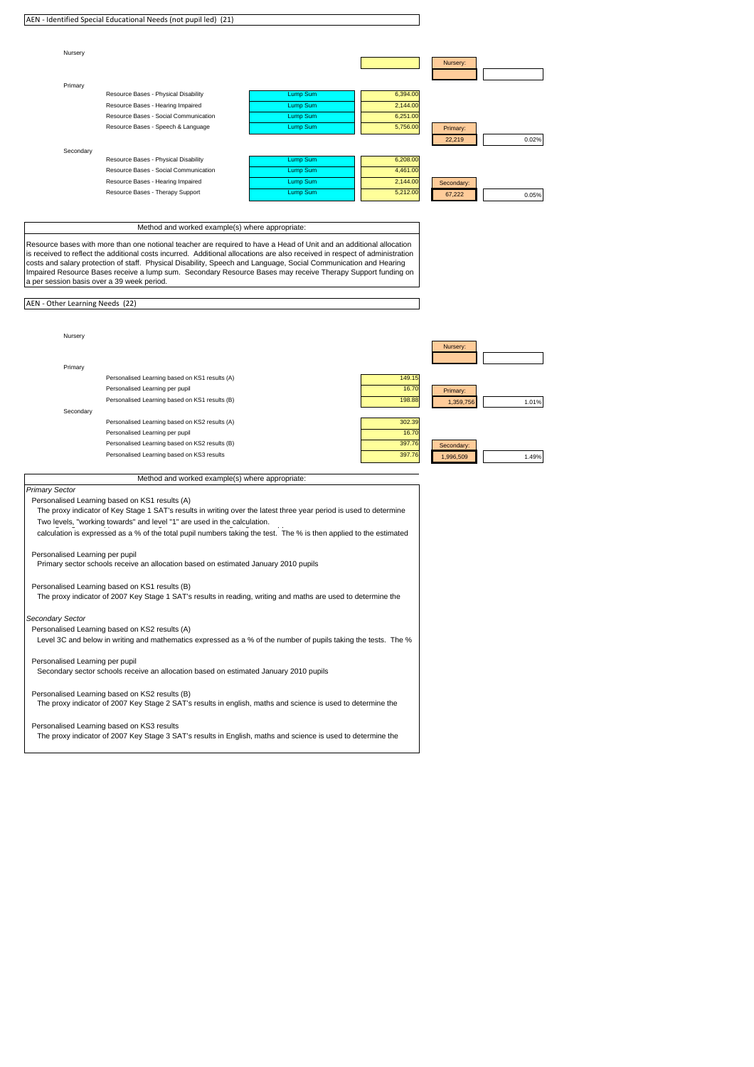|                                            | AEN - Identified Special Educational Needs (not pupil led) (21)                                                                                                                                                                                 |                 |                 |                    |
|--------------------------------------------|-------------------------------------------------------------------------------------------------------------------------------------------------------------------------------------------------------------------------------------------------|-----------------|-----------------|--------------------|
|                                            |                                                                                                                                                                                                                                                 |                 |                 |                    |
| Nursery                                    |                                                                                                                                                                                                                                                 |                 |                 |                    |
|                                            |                                                                                                                                                                                                                                                 |                 |                 | Nursery:           |
| Primary                                    |                                                                                                                                                                                                                                                 |                 |                 |                    |
|                                            | Resource Bases - Physical Disability                                                                                                                                                                                                            | Lump Sum        | 6,394.00        |                    |
|                                            | Resource Bases - Hearing Impaired                                                                                                                                                                                                               | Lump Sum        | 2,144.00        |                    |
|                                            | Resource Bases - Social Communication                                                                                                                                                                                                           | Lump Sum        | 6,251.00        |                    |
|                                            | Resource Bases - Speech & Language                                                                                                                                                                                                              | Lump Sum        | 5,756.00        | Primary:           |
|                                            |                                                                                                                                                                                                                                                 |                 |                 | 22,219<br>0.02%    |
| Secondary                                  | Resource Bases - Physical Disability                                                                                                                                                                                                            | <b>Lump Sum</b> | 6,208.00        |                    |
|                                            | Resource Bases - Social Communication                                                                                                                                                                                                           | Lump Sum        | 4,461.00        |                    |
|                                            | Resource Bases - Hearing Impaired                                                                                                                                                                                                               | Lump Sum        | 2,144.00        | Secondary:         |
|                                            | Resource Bases - Therapy Support                                                                                                                                                                                                                | Lump Sum        | 5,212.00        | 67,222<br>0.05%    |
|                                            |                                                                                                                                                                                                                                                 |                 |                 |                    |
|                                            | Method and worked example(s) where appropriate:                                                                                                                                                                                                 |                 |                 |                    |
|                                            |                                                                                                                                                                                                                                                 |                 |                 |                    |
|                                            | Resource bases with more than one notional teacher are required to have a Head of Unit and an additional allocation                                                                                                                             |                 |                 |                    |
|                                            | is received to reflect the additional costs incurred. Additional allocations are also received in respect of administration<br>costs and salary protection of staff. Physical Disability, Speech and Language, Social Communication and Hearing |                 |                 |                    |
|                                            | Impaired Resource Bases receive a lump sum. Secondary Resource Bases may receive Therapy Support funding on                                                                                                                                     |                 |                 |                    |
| a per session basis over a 39 week period. |                                                                                                                                                                                                                                                 |                 |                 |                    |
| AEN - Other Learning Needs (22)            |                                                                                                                                                                                                                                                 |                 |                 |                    |
|                                            |                                                                                                                                                                                                                                                 |                 |                 |                    |
|                                            |                                                                                                                                                                                                                                                 |                 |                 |                    |
| Nursery                                    |                                                                                                                                                                                                                                                 |                 |                 |                    |
|                                            |                                                                                                                                                                                                                                                 |                 |                 | Nursery:           |
|                                            |                                                                                                                                                                                                                                                 |                 |                 |                    |
| Primary                                    |                                                                                                                                                                                                                                                 |                 |                 |                    |
|                                            | Personalised Learning based on KS1 results (A)<br>Personalised Learning per pupil                                                                                                                                                               |                 | 149.15<br>16.70 |                    |
|                                            | Personalised Learning based on KS1 results (B)                                                                                                                                                                                                  |                 | 198.88          | Primary:           |
| Secondary                                  |                                                                                                                                                                                                                                                 |                 |                 | 1,359,756<br>1.01% |
|                                            | Personalised Learning based on KS2 results (A)                                                                                                                                                                                                  |                 | 302.39          |                    |
|                                            | Personalised Learning per pupil                                                                                                                                                                                                                 |                 | 16.70           |                    |
|                                            | Personalised Learning based on KS2 results (B)                                                                                                                                                                                                  |                 | 397.76          | Secondary:         |
|                                            | Personalised Learning based on KS3 results                                                                                                                                                                                                      |                 | 397.7           | 1,996,509<br>1.49% |
|                                            |                                                                                                                                                                                                                                                 |                 |                 |                    |
|                                            | Method and worked example(s) where appropriate:                                                                                                                                                                                                 |                 |                 |                    |
| Primary Sector                             | Personalised Learning based on KS1 results (A)                                                                                                                                                                                                  |                 |                 |                    |
|                                            | The proxy indicator of Key Stage 1 SAT's results in writing over the latest three year period is used to determine                                                                                                                              |                 |                 |                    |
|                                            | Two levels, "working towards" and level "1" are used in the calculation.                                                                                                                                                                        |                 |                 |                    |
|                                            | calculation is expressed as a % of the total pupil numbers taking the test. The % is then applied to the estimated                                                                                                                              |                 |                 |                    |
|                                            |                                                                                                                                                                                                                                                 |                 |                 |                    |
| Personalised Learning per pupil            | Primary sector schools receive an allocation based on estimated January 2010 pupils                                                                                                                                                             |                 |                 |                    |
|                                            |                                                                                                                                                                                                                                                 |                 |                 |                    |
|                                            | Personalised Learning based on KS1 results (B)                                                                                                                                                                                                  |                 |                 |                    |
|                                            | The proxy indicator of 2007 Key Stage 1 SAT's results in reading, writing and maths are used to determine the                                                                                                                                   |                 |                 |                    |
| Secondary Sector                           |                                                                                                                                                                                                                                                 |                 |                 |                    |
|                                            | Personalised Learning based on KS2 results (A)                                                                                                                                                                                                  |                 |                 |                    |
|                                            | Level 3C and below in writing and mathematics expressed as a % of the number of pupils taking the tests. The %                                                                                                                                  |                 |                 |                    |
|                                            |                                                                                                                                                                                                                                                 |                 |                 |                    |
| Personalised Learning per pupil            |                                                                                                                                                                                                                                                 |                 |                 |                    |
|                                            | Secondary sector schools receive an allocation based on estimated January 2010 pupils                                                                                                                                                           |                 |                 |                    |
|                                            | Personalised Learning based on KS2 results (B)                                                                                                                                                                                                  |                 |                 |                    |
|                                            | The proxy indicator of 2007 Key Stage 2 SAT's results in english, maths and science is used to determine the                                                                                                                                    |                 |                 |                    |
|                                            |                                                                                                                                                                                                                                                 |                 |                 |                    |
|                                            | Personalised Learning based on KS3 results                                                                                                                                                                                                      |                 |                 |                    |
|                                            | The proxy indicator of 2007 Key Stage 3 SAT's results in English, maths and science is used to determine the                                                                                                                                    |                 |                 |                    |
|                                            |                                                                                                                                                                                                                                                 |                 |                 |                    |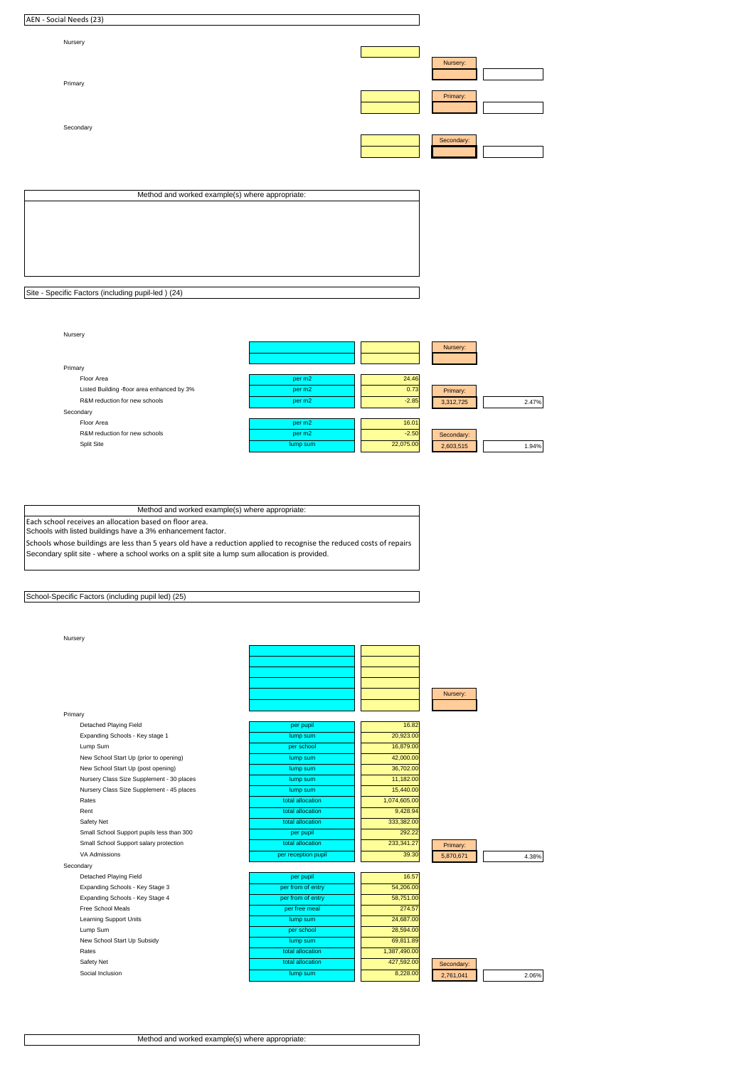| AEN - Social Needs (23) |                                                 |            |  |
|-------------------------|-------------------------------------------------|------------|--|
| Nursery                 |                                                 |            |  |
| Primary                 |                                                 | Nursery:   |  |
|                         |                                                 | Primary:   |  |
| Secondary               |                                                 |            |  |
|                         |                                                 | Secondary: |  |
|                         |                                                 |            |  |
|                         | Method and worked example(s) where appropriate: |            |  |

| Site - Specific Factors (including pupil-led) (24) |  |
|----------------------------------------------------|--|



Method and worked example(s) where appropriate: Each school receives an allocation based on floor area.

Schools with listed buildings have a 3% enhancement factor.

Schools whose buildings are less than 5 years old have a reduction applied to recognise the reduced costs of repairs Secondary split site - where a school works on a split site a lump sum allocation is provided.

School-Specific Factors (including pupil led) (25)

Social Inclusion

Nursery

| Nursery                                   |                     |              |            |       |
|-------------------------------------------|---------------------|--------------|------------|-------|
|                                           |                     |              |            |       |
|                                           |                     |              |            |       |
|                                           |                     |              |            |       |
|                                           |                     |              |            |       |
|                                           |                     |              | Nursery:   |       |
|                                           |                     |              |            |       |
| Primary                                   |                     |              |            |       |
| Detached Playing Field                    | per pupil           | 16.82        |            |       |
| Expanding Schools - Key stage 1           | lump sum            | 20,923.00    |            |       |
| Lump Sum                                  | per school          | 16,879.00    |            |       |
| New School Start Up (prior to opening)    | lump sum            | 42,000.00    |            |       |
| New School Start Up (post opening)        | lump sum            | 36,702.00    |            |       |
| Nursery Class Size Supplement - 30 places | lump sum            | 11,182.00    |            |       |
| Nursery Class Size Supplement - 45 places | lump sum            | 15,440.00    |            |       |
| Rates                                     | total allocation    | 1,074,605.00 |            |       |
| Rent                                      | total allocation    | 9,428.94     |            |       |
| Safety Net                                | total allocation    | 333,382.00   |            |       |
| Small School Support pupils less than 300 | per pupil           | 292.22       |            |       |
| Small School Support salary protection    | total allocation    | 233,341.27   | Primary:   |       |
| VA Admissions                             | per reception pupil | 39.30        | 5,870,671  | 4.38% |
| Secondary                                 |                     |              |            |       |
| Detached Playing Field                    | per pupil           | 16.57        |            |       |
| Expanding Schools - Key Stage 3           | per from of entry   | 54,206.00    |            |       |
| Expanding Schools - Key Stage 4           | per from of entry   | 58,751.00    |            |       |
| Free School Meals                         | per free meal       | 274.57       |            |       |
| <b>Learning Support Units</b>             | lump sum            | 24,687.00    |            |       |
| Lump Sum                                  | per school          | 28,594.00    |            |       |
| New School Start Up Subsidy               | lump sum            | 69,811.89    |            |       |
| Rates                                     | total allocation    | 1,387,490.00 |            |       |
| Safety Net                                | total allocation    | 427,592.00   | Secondary: |       |

**8,228.00** 2,761,041 2.06%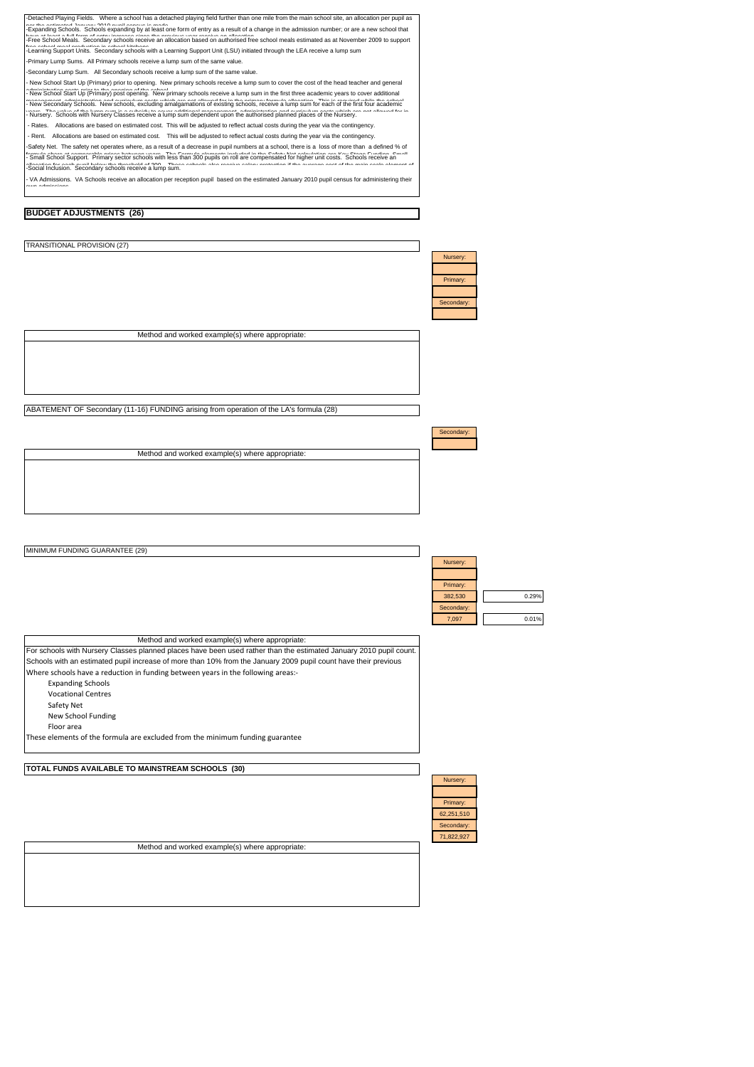| -Detached Playing Fields. Where a school has a detached playing field further than one mile from the main school site, an allocation per pupil as<br>as the activacted leaves; 2010 availance is mode torm of entry as a result of a change in the admission number; or are a new school that<br>Free School Meals. Secondary schools receive an allocation based on authorised free school meals estimated as at November 2009 to support<br>-Learning Support Units. Secondary schools with a Learning Support Unit (LSU) initiated through the LEA receive a lump sum<br>-Primary Lump Sums. All Primary schools receive a lump sum of the same value.<br>-Secondary Lump Sum. All Secondary schools receive a lump sum of the same value.<br>New School Start Up (Primary) prior to opening. New primary schools receive a lump sum to cover the cost of the head teacher and general<br>New School Start Up (Primary) post opening. New primary schools receive a lump sum in the first three academic years to cover additional<br>New Secondary Schools. New schools, excluding amalgamations of existing schools, receive a lump sum for each of the first four academic<br>Nursery. Schools with Nursery Classes receive a lump sum dependent upon the authorised planned places of the Nursery.<br>Rates. Allocations are based on estimated cost. This will be adjusted to reflect actual costs during the year via the contingency.<br>Rent. Allocations are based on estimated cost. This will be adjusted to reflect actual costs during the year via the contingency.<br>Safety Net. The safety net operates where, as a result of a decrease in pupil numbers at a school, there is a loss of more than a defined % of<br>smull School Support. Primary sector schools with less than 300 pupils on roll are compensated for higher unit costs. Schools Freelive an<br>Social Inclusion. Secondary schools receive a lump sum.<br>VA Admissions. VA Schools receive an allocation per reception pupil based on the estimated January 2010 pupil census for administering their<br><b>BUDGET ADJUSTMENTS (26)</b> |                                                                          |
|----------------------------------------------------------------------------------------------------------------------------------------------------------------------------------------------------------------------------------------------------------------------------------------------------------------------------------------------------------------------------------------------------------------------------------------------------------------------------------------------------------------------------------------------------------------------------------------------------------------------------------------------------------------------------------------------------------------------------------------------------------------------------------------------------------------------------------------------------------------------------------------------------------------------------------------------------------------------------------------------------------------------------------------------------------------------------------------------------------------------------------------------------------------------------------------------------------------------------------------------------------------------------------------------------------------------------------------------------------------------------------------------------------------------------------------------------------------------------------------------------------------------------------------------------------------------------------------------------------------------------------------------------------------------------------------------------------------------------------------------------------------------------------------------------------------------------------------------------------------------------------------------------------------------------------------------------------------------------------------------------------------------------------------------------------------------------------------------------------------------------------|--------------------------------------------------------------------------|
|                                                                                                                                                                                                                                                                                                                                                                                                                                                                                                                                                                                                                                                                                                                                                                                                                                                                                                                                                                                                                                                                                                                                                                                                                                                                                                                                                                                                                                                                                                                                                                                                                                                                                                                                                                                                                                                                                                                                                                                                                                                                                                                                  |                                                                          |
| TRANSITIONAL PROVISION (27)                                                                                                                                                                                                                                                                                                                                                                                                                                                                                                                                                                                                                                                                                                                                                                                                                                                                                                                                                                                                                                                                                                                                                                                                                                                                                                                                                                                                                                                                                                                                                                                                                                                                                                                                                                                                                                                                                                                                                                                                                                                                                                      |                                                                          |
|                                                                                                                                                                                                                                                                                                                                                                                                                                                                                                                                                                                                                                                                                                                                                                                                                                                                                                                                                                                                                                                                                                                                                                                                                                                                                                                                                                                                                                                                                                                                                                                                                                                                                                                                                                                                                                                                                                                                                                                                                                                                                                                                  | Nursery:<br>Primary:<br>Secondary:                                       |
| Method and worked example(s) where appropriate:                                                                                                                                                                                                                                                                                                                                                                                                                                                                                                                                                                                                                                                                                                                                                                                                                                                                                                                                                                                                                                                                                                                                                                                                                                                                                                                                                                                                                                                                                                                                                                                                                                                                                                                                                                                                                                                                                                                                                                                                                                                                                  |                                                                          |
|                                                                                                                                                                                                                                                                                                                                                                                                                                                                                                                                                                                                                                                                                                                                                                                                                                                                                                                                                                                                                                                                                                                                                                                                                                                                                                                                                                                                                                                                                                                                                                                                                                                                                                                                                                                                                                                                                                                                                                                                                                                                                                                                  |                                                                          |
| ABATEMENT OF Secondary (11-16) FUNDING arising from operation of the LA's formula (28)                                                                                                                                                                                                                                                                                                                                                                                                                                                                                                                                                                                                                                                                                                                                                                                                                                                                                                                                                                                                                                                                                                                                                                                                                                                                                                                                                                                                                                                                                                                                                                                                                                                                                                                                                                                                                                                                                                                                                                                                                                           |                                                                          |
|                                                                                                                                                                                                                                                                                                                                                                                                                                                                                                                                                                                                                                                                                                                                                                                                                                                                                                                                                                                                                                                                                                                                                                                                                                                                                                                                                                                                                                                                                                                                                                                                                                                                                                                                                                                                                                                                                                                                                                                                                                                                                                                                  | Secondary:                                                               |
| Method and worked example(s) where appropriate:                                                                                                                                                                                                                                                                                                                                                                                                                                                                                                                                                                                                                                                                                                                                                                                                                                                                                                                                                                                                                                                                                                                                                                                                                                                                                                                                                                                                                                                                                                                                                                                                                                                                                                                                                                                                                                                                                                                                                                                                                                                                                  |                                                                          |
|                                                                                                                                                                                                                                                                                                                                                                                                                                                                                                                                                                                                                                                                                                                                                                                                                                                                                                                                                                                                                                                                                                                                                                                                                                                                                                                                                                                                                                                                                                                                                                                                                                                                                                                                                                                                                                                                                                                                                                                                                                                                                                                                  |                                                                          |
| MINIMUM FUNDING GUARANTEE (29)                                                                                                                                                                                                                                                                                                                                                                                                                                                                                                                                                                                                                                                                                                                                                                                                                                                                                                                                                                                                                                                                                                                                                                                                                                                                                                                                                                                                                                                                                                                                                                                                                                                                                                                                                                                                                                                                                                                                                                                                                                                                                                   | Nursery:<br>Primary:<br>382,530<br>0.29%<br>Secondary:<br>7,097<br>0.01% |
| Method and worked example(s) where appropriate:                                                                                                                                                                                                                                                                                                                                                                                                                                                                                                                                                                                                                                                                                                                                                                                                                                                                                                                                                                                                                                                                                                                                                                                                                                                                                                                                                                                                                                                                                                                                                                                                                                                                                                                                                                                                                                                                                                                                                                                                                                                                                  |                                                                          |
| For schools with Nursery Classes planned places have been used rather than the estimated January 2010 pupil count.<br>Schools with an estimated pupil increase of more than 10% from the January 2009 pupil count have their previous<br>Where schools have a reduction in funding between years in the following areas:-<br><b>Expanding Schools</b><br><b>Vocational Centres</b><br>Safety Net<br>New School Funding<br>Floor area<br>These elements of the formula are excluded from the minimum funding guarantee                                                                                                                                                                                                                                                                                                                                                                                                                                                                                                                                                                                                                                                                                                                                                                                                                                                                                                                                                                                                                                                                                                                                                                                                                                                                                                                                                                                                                                                                                                                                                                                                            |                                                                          |
|                                                                                                                                                                                                                                                                                                                                                                                                                                                                                                                                                                                                                                                                                                                                                                                                                                                                                                                                                                                                                                                                                                                                                                                                                                                                                                                                                                                                                                                                                                                                                                                                                                                                                                                                                                                                                                                                                                                                                                                                                                                                                                                                  |                                                                          |
| TOTAL FUNDS AVAILABLE TO MAINSTREAM SCHOOLS (30)<br>Method and worked example(s) where appropriate:                                                                                                                                                                                                                                                                                                                                                                                                                                                                                                                                                                                                                                                                                                                                                                                                                                                                                                                                                                                                                                                                                                                                                                                                                                                                                                                                                                                                                                                                                                                                                                                                                                                                                                                                                                                                                                                                                                                                                                                                                              | Nursery:<br>Primary:<br>62,251,510<br>Secondary:<br>71,822,927           |
|                                                                                                                                                                                                                                                                                                                                                                                                                                                                                                                                                                                                                                                                                                                                                                                                                                                                                                                                                                                                                                                                                                                                                                                                                                                                                                                                                                                                                                                                                                                                                                                                                                                                                                                                                                                                                                                                                                                                                                                                                                                                                                                                  |                                                                          |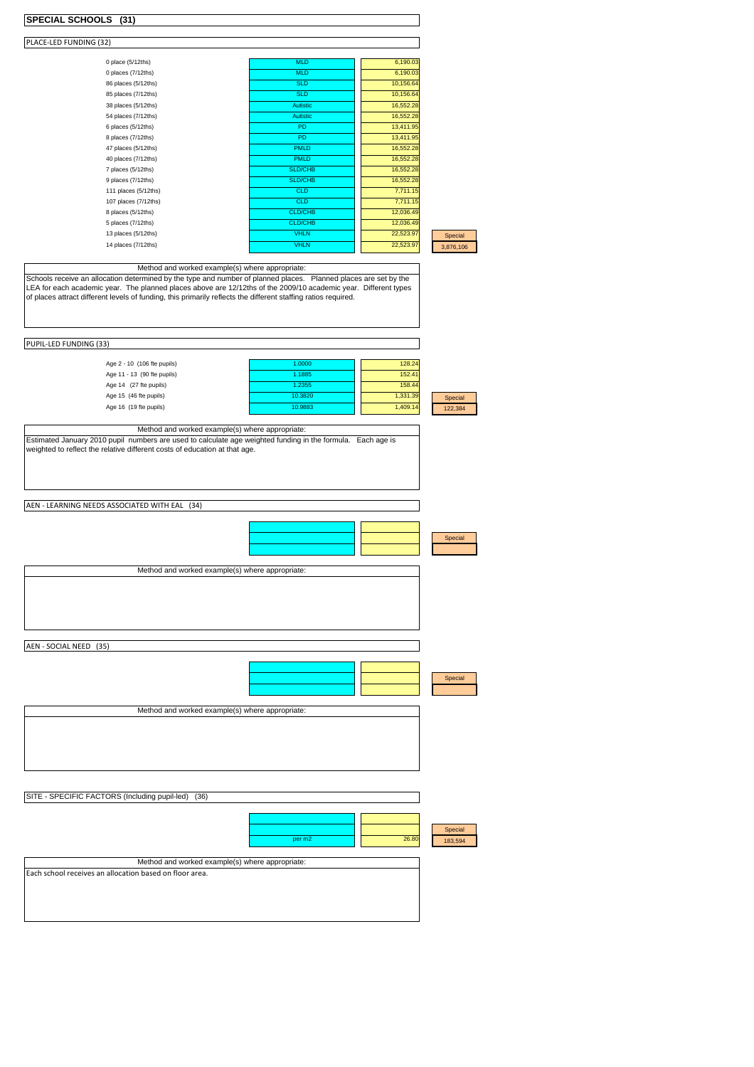| SPECIAL SCHOOLS (31)                                                                                                                                                                                                                                                                                                                                                                                               |                                                  |                                                    |                    |
|--------------------------------------------------------------------------------------------------------------------------------------------------------------------------------------------------------------------------------------------------------------------------------------------------------------------------------------------------------------------------------------------------------------------|--------------------------------------------------|----------------------------------------------------|--------------------|
| PLACE-LED FUNDING (32)                                                                                                                                                                                                                                                                                                                                                                                             |                                                  |                                                    |                    |
|                                                                                                                                                                                                                                                                                                                                                                                                                    |                                                  |                                                    |                    |
| 0 place (5/12ths)                                                                                                                                                                                                                                                                                                                                                                                                  | <b>MLD</b>                                       | 6,190.03                                           |                    |
| 0 places (7/12ths)<br>86 places (5/12ths)                                                                                                                                                                                                                                                                                                                                                                          | <b>MLD</b><br><b>SLD</b>                         | 6,190.03<br>10,156.64                              |                    |
| 85 places (7/12ths)                                                                                                                                                                                                                                                                                                                                                                                                | <b>SLD</b>                                       | 10,156.64                                          |                    |
| 38 places (5/12ths)                                                                                                                                                                                                                                                                                                                                                                                                | <b>Autistic</b>                                  | 16,552.28                                          |                    |
| 54 places (7/12ths)                                                                                                                                                                                                                                                                                                                                                                                                | Autistic                                         | 16,552.28                                          |                    |
| 6 places (5/12ths)                                                                                                                                                                                                                                                                                                                                                                                                 | PD                                               | 13,411.95                                          |                    |
| 8 places (7/12ths)                                                                                                                                                                                                                                                                                                                                                                                                 | PD                                               | 13,411.95                                          |                    |
| 47 places (5/12ths)                                                                                                                                                                                                                                                                                                                                                                                                | <b>PMLD</b>                                      | 16,552.28                                          |                    |
| 40 places (7/12ths)                                                                                                                                                                                                                                                                                                                                                                                                | <b>PMLD</b>                                      | 16,552.28                                          |                    |
| 7 places (5/12ths)                                                                                                                                                                                                                                                                                                                                                                                                 | SLD/CHB                                          | 16,552.28                                          |                    |
| 9 places (7/12ths)<br>111 places (5/12ths)                                                                                                                                                                                                                                                                                                                                                                         | SLD/CHB<br><b>CLD</b>                            | 16,552.28<br>7,711.15                              |                    |
| 107 places (7/12ths)                                                                                                                                                                                                                                                                                                                                                                                               | <b>CLD</b>                                       | 7,711.15                                           |                    |
| 8 places (5/12ths)                                                                                                                                                                                                                                                                                                                                                                                                 | <b>CLD/CHB</b>                                   | 12,036.49                                          |                    |
| 5 places (7/12ths)                                                                                                                                                                                                                                                                                                                                                                                                 | <b>CLD/CHB</b>                                   | 12,036.49                                          |                    |
| 13 places (5/12ths)                                                                                                                                                                                                                                                                                                                                                                                                | <b>VHLN</b>                                      | 22,523.97                                          | Special            |
| 14 places (7/12ths)                                                                                                                                                                                                                                                                                                                                                                                                | <b>VHLN</b>                                      | 22,523.97                                          | 3,876,106          |
|                                                                                                                                                                                                                                                                                                                                                                                                                    |                                                  |                                                    |                    |
| PUPIL-LED FUNDING (33)<br>Age 2 - 10 (106 fte pupils)<br>Age 11 - 13 (90 fte pupils)<br>Age 14 (27 fte pupils)<br>Age 15 (46 fte pupils)<br>Age 16 (19 fte pupils)<br>Method and worked example(s) where appropriate:<br>Estimated January 2010 pupil numbers are used to calculate age weighted funding in the formula. Each age is<br>weighted to reflect the relative different costs of education at that age. | 1.0000<br>1.1885<br>1.2355<br>10.3820<br>10.9883 | 128.24<br>152.41<br>158.44<br>1,331.39<br>1,409.14 | Special<br>122,384 |
| AEN - LEARNING NEEDS ASSOCIATED WITH EAL<br>(34)<br>Method and worked example(s) where appropriate:                                                                                                                                                                                                                                                                                                                |                                                  |                                                    | Special            |
| AEN - SOCIAL NEED (35)                                                                                                                                                                                                                                                                                                                                                                                             |                                                  |                                                    | Special            |
| Method and worked example(s) where appropriate:                                                                                                                                                                                                                                                                                                                                                                    |                                                  |                                                    |                    |
|                                                                                                                                                                                                                                                                                                                                                                                                                    |                                                  |                                                    |                    |
| SITE - SPECIFIC FACTORS (Including pupil-led)<br>(36)                                                                                                                                                                                                                                                                                                                                                              |                                                  |                                                    |                    |
| Method and worked example(s) where appropriate:<br>Each school receives an allocation based on floor area.                                                                                                                                                                                                                                                                                                         | per m2                                           | 26.80                                              | Special<br>183,594 |
|                                                                                                                                                                                                                                                                                                                                                                                                                    |                                                  |                                                    |                    |